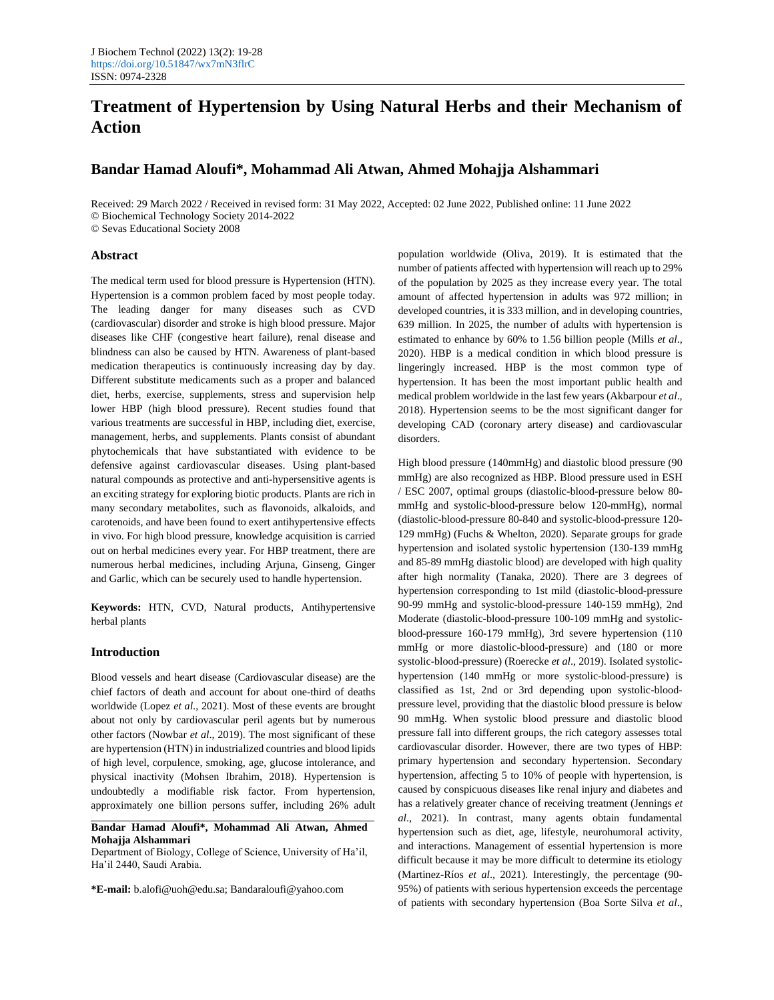# **Treatment of Hypertension by Using Natural Herbs and their Mechanism of Action**

# **Bandar Hamad Aloufi\*, Mohammad Ali Atwan, Ahmed Mohajja Alshammari**

Received: 29 March 2022 / Received in revised form: 31 May 2022, Accepted: 02 June 2022, Published online: 11 June 2022 © Biochemical Technology Society 2014-2022

© Sevas Educational Society 2008

## **Abstract**

The medical term used for blood pressure is Hypertension (HTN). Hypertension is a common problem faced by most people today. The leading danger for many diseases such as CVD (cardiovascular) disorder and stroke is high blood pressure. Major diseases like CHF (congestive heart failure), renal disease and blindness can also be caused by HTN. Awareness of plant-based medication therapeutics is continuously increasing day by day. Different substitute medicaments such as a proper and balanced diet, herbs, exercise, supplements, stress and supervision help lower HBP (high blood pressure). Recent studies found that various treatments are successful in HBP, including diet, exercise, management, herbs, and supplements. Plants consist of abundant phytochemicals that have substantiated with evidence to be defensive against cardiovascular diseases. Using plant-based natural compounds as protective and anti-hypersensitive agents is an exciting strategy for exploring biotic products. Plants are rich in many secondary metabolites, such as flavonoids, alkaloids, and carotenoids, and have been found to exert antihypertensive effects in vivo. For high blood pressure, knowledge acquisition is carried out on herbal medicines every year. For HBP treatment, there are numerous herbal medicines, including Arjuna, Ginseng, Ginger and Garlic, which can be securely used to handle hypertension.

**Keywords:** HTN, CVD, Natural products, Antihypertensive herbal plants

## **Introduction**

Blood vessels and heart disease (Cardiovascular disease) are the chief factors of death and account for about one-third of deaths worldwide (Lopez *et al*., 2021). Most of these events are brought about not only by cardiovascular peril agents but by numerous other factors (Nowbar *et al*., 2019). The most significant of these are hypertension (HTN) in industrialized countries and blood lipids of high level, corpulence, smoking, age, glucose intolerance, and physical inactivity (Mohsen Ibrahim, 2018). Hypertension is undoubtedly a modifiable risk factor. From hypertension, approximately one billion persons suffer, including 26% adult

**Bandar Hamad Aloufi\*, Mohammad Ali Atwan, Ahmed Mohajja Alshammari**

Department of Biology, College of Science, University of Ha'il, Ha'il 2440, Saudi Arabia.

**\*E-mail:** [b.alofi@uoh@edu.sa;](mailto:b.alofi@uoh@edu.sa) [Bandaraloufi@yahoo.com](mailto:Bandaraloufi@yahoo.com)

population worldwide (Oliva, 2019). It is estimated that the number of patients affected with hypertension will reach up to 29% of the population by 2025 as they increase every year. The total amount of affected hypertension in adults was 972 million; in developed countries, it is 333 million, and in developing countries, 639 million. In 2025, the number of adults with hypertension is estimated to enhance by 60% to 1.56 billion people (Mills *et al*., 2020). HBP is a medical condition in which blood pressure is lingeringly increased. HBP is the most common type of hypertension. It has been the most important public health and medical problem worldwide in the last few years (Akbarpour *et al*., 2018). Hypertension seems to be the most significant danger for developing CAD (coronary artery disease) and cardiovascular disorders.

High blood pressure (140mmHg) and diastolic blood pressure (90 mmHg) are also recognized as HBP. Blood pressure used in ESH / ESC 2007, optimal groups (diastolic-blood-pressure below 80 mmHg and systolic-blood-pressure below 120-mmHg), normal (diastolic-blood-pressure 80-840 and systolic-blood-pressure 120- 129 mmHg) (Fuchs & Whelton, 2020). Separate groups for grade hypertension and isolated systolic hypertension (130-139 mmHg and 85-89 mmHg diastolic blood) are developed with high quality after high normality (Tanaka, 2020). There are 3 degrees of hypertension corresponding to 1st mild (diastolic-blood-pressure 90-99 mmHg and systolic-blood-pressure 140-159 mmHg), 2nd Moderate (diastolic-blood-pressure 100-109 mmHg and systolicblood-pressure 160-179 mmHg), 3rd severe hypertension (110 mmHg or more diastolic-blood-pressure) and (180 or more systolic-blood-pressure) (Roerecke *et al*., 2019). Isolated systolichypertension (140 mmHg or more systolic-blood-pressure) is classified as 1st, 2nd or 3rd depending upon systolic-bloodpressure level, providing that the diastolic blood pressure is below 90 mmHg. When systolic blood pressure and diastolic blood pressure fall into different groups, the rich category assesses total cardiovascular disorder. However, there are two types of HBP: primary hypertension and secondary hypertension. Secondary hypertension, affecting 5 to 10% of people with hypertension, is caused by conspicuous diseases like renal injury and diabetes and has a relatively greater chance of receiving treatment (Jennings *et al*., 2021). In contrast, many agents obtain fundamental hypertension such as diet, age, lifestyle, neurohumoral activity, and interactions. Management of essential hypertension is more difficult because it may be more difficult to determine its etiology (Martinez-Ríos *et al*., 2021). Interestingly, the percentage (90- 95%) of patients with serious hypertension exceeds the percentage of patients with secondary hypertension (Boa Sorte Silva *et al*.,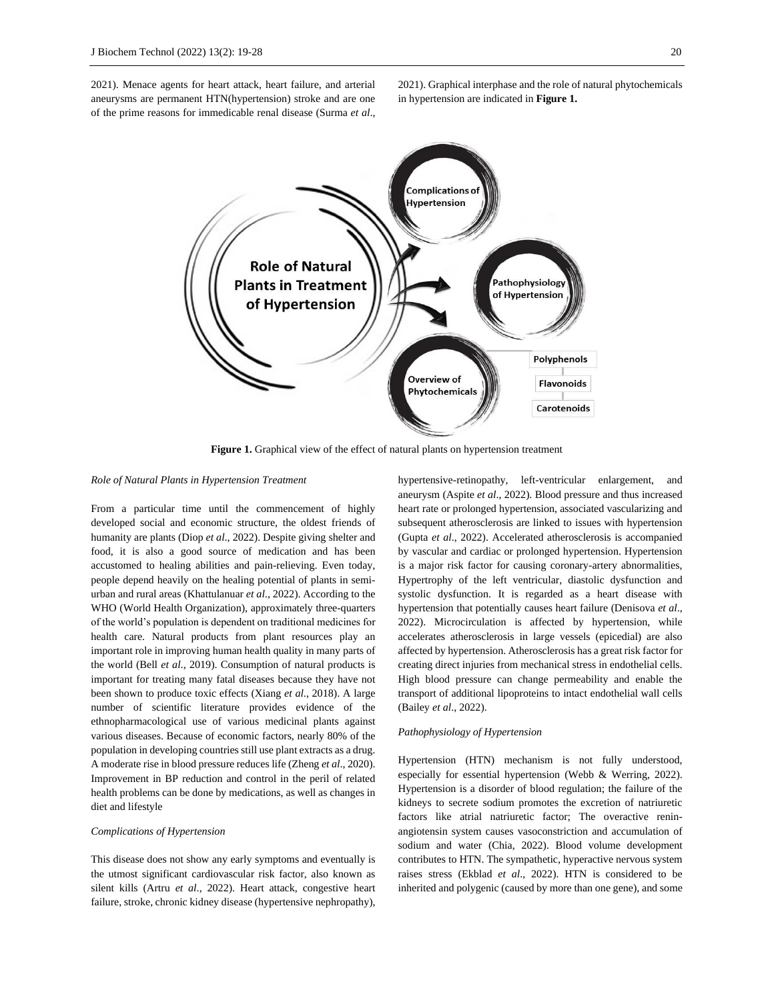2021). Menace agents for heart attack, heart failure, and arterial aneurysms are permanent HTN(hypertension) stroke and are one of the prime reasons for immedicable renal disease (Surma *et al*.,

2021). Graphical interphase and the role of natural phytochemicals in hypertension are indicated in **Figure 1.**



**Figure 1.** Graphical view of the effect of natural plants on hypertension treatment

## *Role of Natural Plants in Hypertension Treatment*

From a particular time until the commencement of highly developed social and economic structure, the oldest friends of humanity are plants (Diop *et al*., 2022). Despite giving shelter and food, it is also a good source of medication and has been accustomed to healing abilities and pain-relieving. Even today, people depend heavily on the healing potential of plants in semiurban and rural areas (Khattulanuar *et al*., 2022). According to the WHO (World Health Organization), approximately three-quarters of the world's population is dependent on traditional medicines for health care. Natural products from plant resources play an important role in improving human health quality in many parts of the world (Bell *et al*., 2019). Consumption of natural products is important for treating many fatal diseases because they have not been shown to produce toxic effects (Xiang *et al*., 2018). A large number of scientific literature provides evidence of the ethnopharmacological use of various medicinal plants against various diseases. Because of economic factors, nearly 80% of the population in developing countries still use plant extracts as a drug. A moderate rise in blood pressure reduces life (Zheng *et al*., 2020). Improvement in BP reduction and control in the peril of related health problems can be done by medications, as well as changes in diet and lifestyle

## *Complications of Hypertension*

This disease does not show any early symptoms and eventually is the utmost significant cardiovascular risk factor, also known as silent kills (Artru *et al*., 2022). Heart attack, congestive heart failure, stroke, chronic kidney disease (hypertensive nephropathy), hypertensive-retinopathy, left-ventricular enlargement, and aneurysm (Aspite *et al*., 2022). Blood pressure and thus increased heart rate or prolonged hypertension, associated vascularizing and subsequent atherosclerosis are linked to issues with hypertension (Gupta *et al*., 2022). Accelerated atherosclerosis is accompanied by vascular and cardiac or prolonged hypertension. Hypertension is a major risk factor for causing coronary-artery abnormalities, Hypertrophy of the left ventricular, diastolic dysfunction and systolic dysfunction. It is regarded as a heart disease with hypertension that potentially causes heart failure (Denisova *et al*., 2022). Microcirculation is affected by hypertension, while accelerates atherosclerosis in large vessels (epicedial) are also affected by hypertension. Atherosclerosis has a great risk factor for creating direct injuries from mechanical stress in endothelial cells. High blood pressure can change permeability and enable the transport of additional lipoproteins to intact endothelial wall cells (Bailey *et al*., 2022).

#### *Pathophysiology of Hypertension*

Hypertension (HTN) mechanism is not fully understood, especially for essential hypertension (Webb & Werring, 2022). Hypertension is a disorder of blood regulation; the failure of the kidneys to secrete sodium promotes the excretion of natriuretic factors like atrial natriuretic factor; The overactive reninangiotensin system causes vasoconstriction and accumulation of sodium and water (Chia, 2022). Blood volume development contributes to HTN. The sympathetic, hyperactive nervous system raises stress (Ekblad *et al*., 2022). HTN is considered to be inherited and polygenic (caused by more than one gene), and some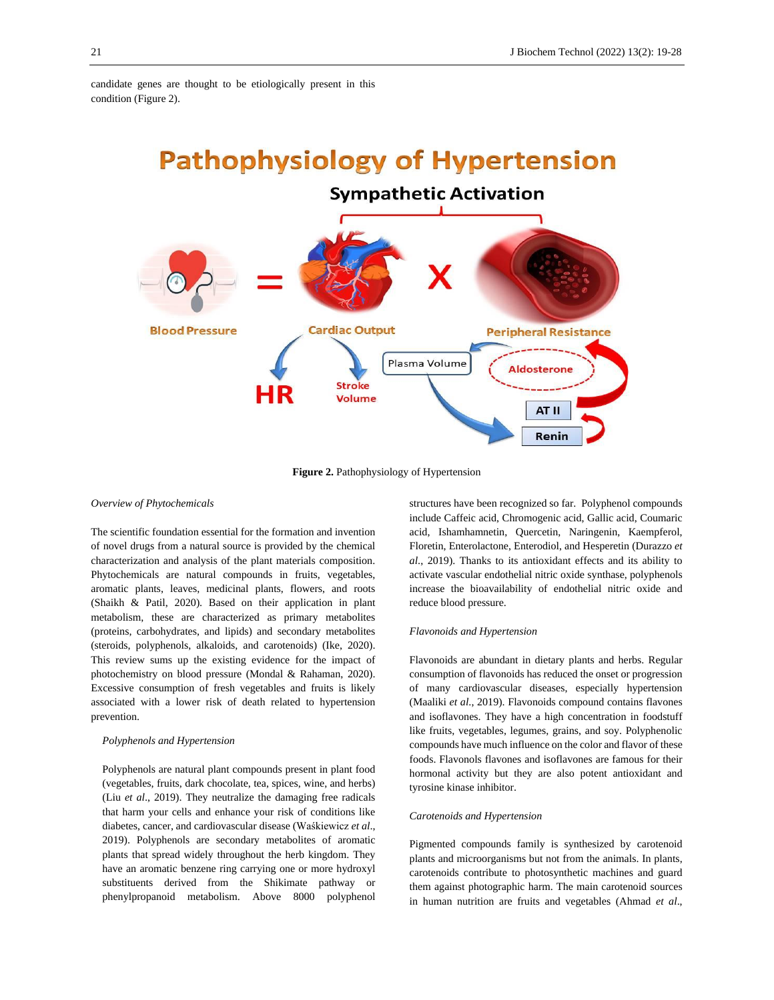candidate genes are thought to be etiologically present in this condition (Figure 2).



**Figure 2.** Pathophysiology of Hypertension

#### *Overview of Phytochemicals*

The scientific foundation essential for the formation and invention of novel drugs from a natural source is provided by the chemical characterization and analysis of the plant materials composition. Phytochemicals are natural compounds in fruits, vegetables, aromatic plants, leaves, medicinal plants, flowers, and roots (Shaikh & Patil, 2020). Based on their application in plant metabolism, these are characterized as primary metabolites (proteins, carbohydrates, and lipids) and secondary metabolites (steroids, polyphenols, alkaloids, and carotenoids) (Ike, 2020). This review sums up the existing evidence for the impact of photochemistry on blood pressure (Mondal & Rahaman, 2020). Excessive consumption of fresh vegetables and fruits is likely associated with a lower risk of death related to hypertension prevention.

## *Polyphenols and Hypertension*

Polyphenols are natural plant compounds present in plant food (vegetables, fruits, dark chocolate, tea, spices, wine, and herbs) (Liu *et al*., 2019). They neutralize the damaging free radicals that harm your cells and enhance your risk of conditions like diabetes, cancer, and cardiovascular disease (Waśkiewicz *et al*., 2019). Polyphenols are secondary metabolites of aromatic plants that spread widely throughout the herb kingdom. They have an aromatic benzene ring carrying one or more hydroxyl substituents derived from the Shikimate pathway or phenylpropanoid metabolism. Above 8000 polyphenol structures have been recognized so far. Polyphenol compounds include Caffeic acid, Chromogenic acid, Gallic acid, Coumaric acid, Ishamhamnetin, Quercetin, Naringenin, Kaempferol, Floretin, Enterolactone, Enterodiol, and Hesperetin (Durazzo *et al*., 2019). Thanks to its antioxidant effects and its ability to activate vascular endothelial nitric oxide synthase, polyphenols increase the bioavailability of endothelial nitric oxide and reduce blood pressure.

### *Flavonoids and Hypertension*

Flavonoids are abundant in dietary plants and herbs. Regular consumption of flavonoids has reduced the onset or progression of many cardiovascular diseases, especially hypertension (Maaliki *et al*., 2019). Flavonoids compound contains flavones and isoflavones. They have a high concentration in foodstuff like fruits, vegetables, legumes, grains, and soy. Polyphenolic compounds have much influence on the color and flavor of these foods. Flavonols flavones and isoflavones are famous for their hormonal activity but they are also potent antioxidant and tyrosine kinase inhibitor.

#### *Carotenoids and Hypertension*

Pigmented compounds family is synthesized by carotenoid plants and microorganisms but not from the animals. In plants, carotenoids contribute to photosynthetic machines and guard them against photographic harm. The main carotenoid sources in human nutrition are fruits and vegetables (Ahmad *et al*.,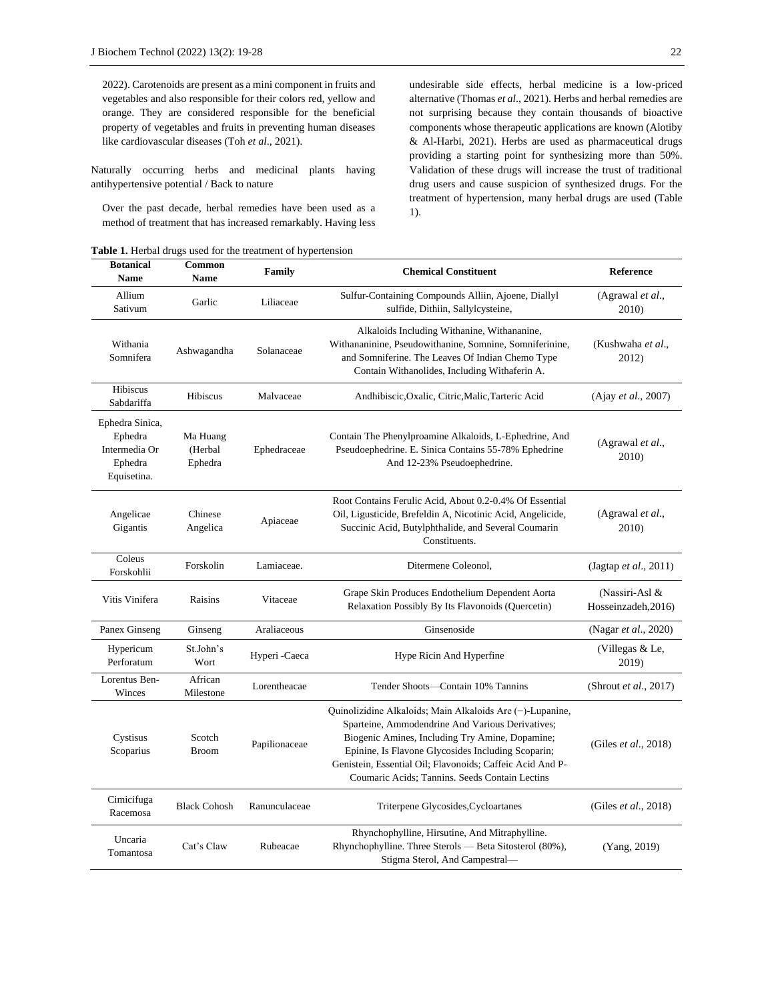2022). Carotenoids are present as a mini component in fruits and vegetables and also responsible for their colors red, yellow and orange. They are considered responsible for the beneficial property of vegetables and fruits in preventing human diseases like cardiovascular diseases (Toh *et al*., 2021).

Naturally occurring herbs and medicinal plants having antihypertensive potential / Back to nature

Over the past decade, herbal remedies have been used as a method of treatment that has increased remarkably. Having less

**Table 1.** Herbal drugs used for the treatment of hypertension

undesirable side effects, herbal medicine is a low-priced alternative (Thomas *et al*., 2021). Herbs and herbal remedies are not surprising because they contain thousands of bioactive components whose therapeutic applications are known (Alotiby & Al-Harbi, 2021). Herbs are used as pharmaceutical drugs providing a starting point for synthesizing more than 50%. Validation of these drugs will increase the trust of traditional drug users and cause suspicion of synthesized drugs. For the treatment of hypertension, many herbal drugs are used (Table 1).

| <b>Botanical</b><br><b>Name</b>                                       | Common<br><b>Name</b>          | Family        | <b>Chemical Constituent</b>                                                                                                                                                                                                                                                                                                              | Reference                             |
|-----------------------------------------------------------------------|--------------------------------|---------------|------------------------------------------------------------------------------------------------------------------------------------------------------------------------------------------------------------------------------------------------------------------------------------------------------------------------------------------|---------------------------------------|
| Allium<br>Sativum                                                     | Garlic                         | Liliaceae     | Sulfur-Containing Compounds Alliin, Ajoene, Diallyl<br>sulfide, Dithiin, Sallylcysteine,                                                                                                                                                                                                                                                 | (Agrawal et al.,<br>2010)             |
| Withania<br>Somnifera                                                 | Ashwagandha                    | Solanaceae    | Alkaloids Including Withanine, Withananine,<br>Withananinine, Pseudowithanine, Somnine, Somniferinine,<br>and Somniferine. The Leaves Of Indian Chemo Type<br>Contain Withanolides, Including Withaferin A.                                                                                                                              | (Kushwaha et al.,<br>2012)            |
| Hibiscus<br>Sabdariffa                                                | Hibiscus                       | Malvaceae     | Andhibiscic, Oxalic, Citric, Malic, Tarteric Acid                                                                                                                                                                                                                                                                                        | (Ajay et al., 2007)                   |
| Ephedra Sinica,<br>Ephedra<br>Intermedia Or<br>Ephedra<br>Equisetina. | Ma Huang<br>(Herbal<br>Ephedra | Ephedraceae   | Contain The Phenylproamine Alkaloids, L-Ephedrine, And<br>Pseudoephedrine. E. Sinica Contains 55-78% Ephedrine<br>And 12-23% Pseudoephedrine.                                                                                                                                                                                            | (Agrawal et al.,<br>2010)             |
| Angelicae<br>Gigantis                                                 | Chinese<br>Angelica            | Apiaceae      | Root Contains Ferulic Acid, About 0.2-0.4% Of Essential<br>Oil, Ligusticide, Brefeldin A, Nicotinic Acid, Angelicide,<br>Succinic Acid, Butylphthalide, and Several Coumarin<br>Constituents.                                                                                                                                            | (Agrawal et al.,<br>2010)             |
| Coleus<br>Forskohlii                                                  | Forskolin                      | Lamiaceae.    | Ditermene Coleonol,                                                                                                                                                                                                                                                                                                                      | (Jagtap et al., 2011)                 |
| Vitis Vinifera                                                        | Raisins                        | Vitaceae      | Grape Skin Produces Endothelium Dependent Aorta<br>Relaxation Possibly By Its Flavonoids (Quercetin)                                                                                                                                                                                                                                     | (Nassiri-Asl &<br>Hosseinzadeh, 2016) |
| Panex Ginseng                                                         | Ginseng                        | Araliaceous   | Ginsenoside                                                                                                                                                                                                                                                                                                                              | (Nagar <i>et al.</i> , 2020)          |
| Hypericum<br>Perforatum                                               | St.John's<br>Wort              | Hyperi -Caeca | Hype Ricin And Hyperfine                                                                                                                                                                                                                                                                                                                 | (Villegas & Le,<br>2019)              |
| Lorentus Ben-<br>Winces                                               | African<br>Milestone           | Lorentheacae  | Tender Shoots-Contain 10% Tannins                                                                                                                                                                                                                                                                                                        | (Shrout et al., 2017)                 |
| Cystisus<br>Scoparius                                                 | Scotch<br><b>Broom</b>         | Papilionaceae | Quinolizidine Alkaloids; Main Alkaloids Are $(-)$ -Lupanine,<br>Sparteine, Ammodendrine And Various Derivatives;<br>Biogenic Amines, Including Try Amine, Dopamine;<br>Epinine, Is Flavone Glycosides Including Scoparin;<br>Genistein, Essential Oil; Flavonoids; Caffeic Acid And P-<br>Coumaric Acids: Tannins. Seeds Contain Lectins | (Giles et al., 2018)                  |
| Cimicifuga<br>Racemosa                                                | <b>Black Cohosh</b>            | Ranunculaceae | Triterpene Glycosides, Cycloartanes                                                                                                                                                                                                                                                                                                      | (Giles <i>et al.</i> , 2018)          |
| Uncaria<br>Tomantosa                                                  | Cat's Claw                     | Rubeacae      | Rhynchophylline, Hirsutine, And Mitraphylline.<br>Rhynchophylline. Three Sterols — Beta Sitosterol (80%),<br>Stigma Sterol, And Campestral-                                                                                                                                                                                              | (Yang, 2019)                          |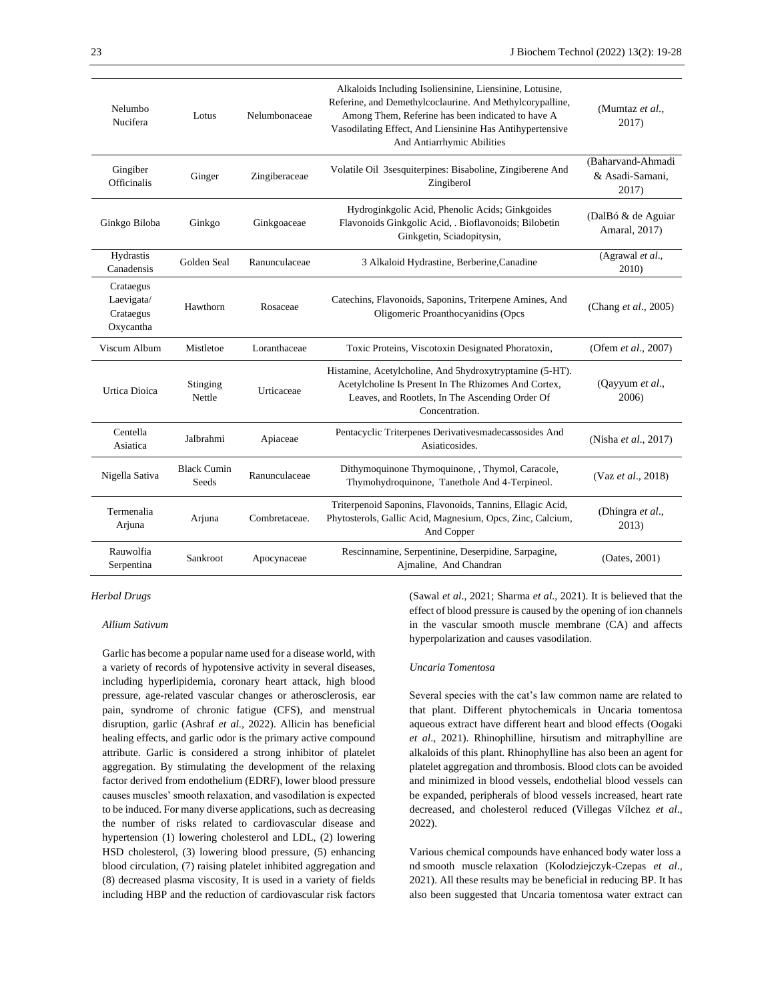| Nelumbo<br>Nucifera                               | Lotus                       | Nelumbonaceae | Alkaloids Including Isoliensinine, Liensinine, Lotusine,<br>Referine, and Demethylcoclaurine. And Methylcorypalline,<br>Among Them, Referine has been indicated to have A<br>Vasodilating Effect, And Liensinine Has Antihypertensive<br>And Antiarrhymic Abilities | (Mumtaz et al.,<br>2017)                      |
|---------------------------------------------------|-----------------------------|---------------|---------------------------------------------------------------------------------------------------------------------------------------------------------------------------------------------------------------------------------------------------------------------|-----------------------------------------------|
| Gingiber<br>Officinalis                           | Ginger                      | Zingiberaceae | Volatile Oil 3sesquiterpines: Bisaboline, Zingiberene And<br>Zingiberol                                                                                                                                                                                             | (Baharvand-Ahmadi<br>& Asadi-Samani,<br>2017) |
| Ginkgo Biloba                                     | Ginkgo                      | Ginkgoaceae   | Hydroginkgolic Acid, Phenolic Acids; Ginkgoides<br>Flavonoids Ginkgolic Acid, . Bioflavonoids; Bilobetin<br>Ginkgetin, Sciadopitysin,                                                                                                                               | (DalBó & de Aguiar<br>Amaral, 2017)           |
| Hydrastis<br>Canadensis                           | Golden Seal                 | Ranunculaceae | 3 Alkaloid Hydrastine, Berberine, Canadine                                                                                                                                                                                                                          | (Agrawal et al.,<br>2010)                     |
| Crataegus<br>Laevigata/<br>Crataegus<br>Oxycantha | Hawthorn                    | Rosaceae      | Catechins, Flavonoids, Saponins, Triterpene Amines, And<br>Oligomeric Proanthocyanidins (Opcs                                                                                                                                                                       | (Chang et al., 2005)                          |
| Viscum Album                                      | Mistletoe                   | Loranthaceae  | Toxic Proteins, Viscotoxin Designated Phoratoxin,                                                                                                                                                                                                                   | (Ofem et al., 2007)                           |
| <b>Urtica Dioica</b>                              | Stinging<br>Nettle          | Urticaceae    | Histamine, Acetylcholine, And 5hydroxytryptamine (5-HT).<br>Acetylcholine Is Present In The Rhizomes And Cortex,<br>Leaves, and Rootlets, In The Ascending Order Of<br>Concentration.                                                                               | (Qayyum et al.,<br>2006)                      |
| Centella<br>Asiatica                              | Jalbrahmi                   | Apiaceae      | Pentacyclic Triterpenes Derivativesmadecassosides And<br>Asiaticosides.                                                                                                                                                                                             | (Nisha et al., 2017)                          |
| Nigella Sativa                                    | <b>Black Cumin</b><br>Seeds | Ranunculaceae | Dithymoquinone Thymoquinone, , Thymol, Caracole,<br>Thymohydroquinone, Tanethole And 4-Terpineol.                                                                                                                                                                   | (Vaz et al., 2018)                            |
| Termenalia<br>Arjuna                              | Arjuna                      | Combretaceae. | Triterpenoid Saponins, Flavonoids, Tannins, Ellagic Acid,<br>Phytosterols, Gallic Acid, Magnesium, Opcs, Zinc, Calcium,<br>And Copper                                                                                                                               | (Dhingra et al.,<br>2013)                     |
| Rauwolfia<br>Serpentina                           | Sankroot                    | Apocynaceae   | Rescinnamine, Serpentinine, Deserpidine, Sarpagine,<br>Ajmaline, And Chandran                                                                                                                                                                                       | (Oates, 2001)                                 |

# *Herbal Drugs*

# *Allium Sativum*

Garlic has become a popular name used for a disease world, with a variety of records of hypotensive activity in several diseases, including hyperlipidemia, coronary heart attack, high blood pressure, age-related vascular changes or atherosclerosis, ear pain, syndrome of chronic fatigue (CFS), and menstrual disruption, garlic (Ashraf *et al*., 2022). Allicin has beneficial healing effects, and garlic odor is the primary active compound attribute. Garlic is considered a strong inhibitor of platelet aggregation. By stimulating the development of the relaxing factor derived from endothelium (EDRF), lower blood pressure causes muscles' smooth relaxation, and vasodilation is expected to be induced. For many diverse applications, such as decreasing the number of risks related to cardiovascular disease and hypertension (1) lowering cholesterol and LDL, (2) lowering HSD cholesterol, (3) lowering blood pressure, (5) enhancing blood circulation, (7) raising platelet inhibited aggregation and (8) decreased plasma viscosity, It is used in a variety of fields including HBP and the reduction of cardiovascular risk factors (Sawal *et al*., 2021; Sharma *et al*., 2021). It is believed that the effect of blood pressure is caused by the opening of ion channels in the vascular smooth muscle membrane (CA) and affects hyperpolarization and causes vasodilation.

## *Uncaria Tomentosa*

Several species with the cat's law common name are related to that plant. Different phytochemicals in Uncaria tomentosa aqueous extract have different heart and blood effects (Oogaki *et al*., 2021). Rhinophilline, hirsutism and mitraphylline are alkaloids of this plant. Rhinophylline has also been an agent for platelet aggregation and thrombosis. Blood clots can be avoided and minimized in blood vessels, endothelial blood vessels can be expanded, peripherals of blood vessels increased, heart rate decreased, and cholesterol reduced (Villegas Vílchez *et al*., 2022).

Various chemical compounds have enhanced body water loss a nd smooth muscle relaxation (Kolodziejczyk-Czepas *et al*., 2021). All these results may be beneficial in reducing BP. It has also been suggested that Uncaria tomentosa water extract can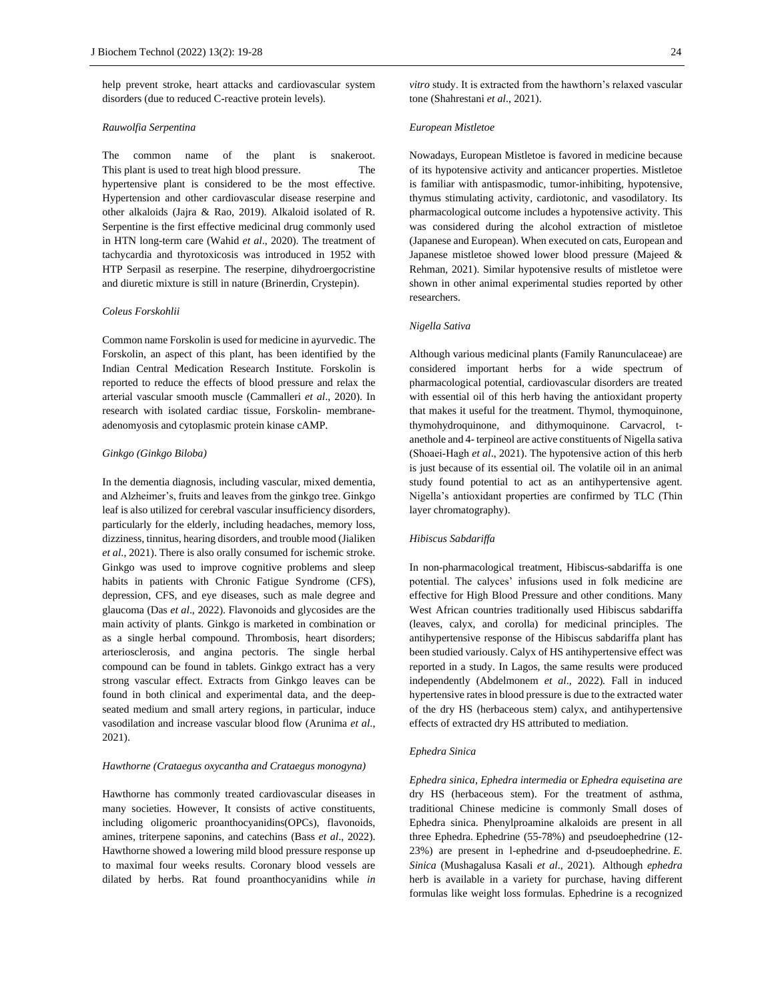help prevent stroke, heart attacks and cardiovascular system disorders (due to reduced C-reactive protein levels).

#### *Rauwolfia Serpentina*

The common name of the plant is snakeroot. This plant is used to treat high blood pressure. The hypertensive plant is considered to be the most effective. Hypertension and other cardiovascular disease reserpine and other alkaloids (Jajra & Rao, 2019). Alkaloid isolated of R. Serpentine is the first effective medicinal drug commonly used in HTN long-term care (Wahid *et al*., 2020). The treatment of tachycardia and thyrotoxicosis was introduced in 1952 with HTP Serpasil as reserpine. The reserpine, dihydroergocristine and diuretic mixture is still in nature (Brinerdin, Crystepin).

### *Coleus Forskohlii*

Common name Forskolin is used for medicine in ayurvedic. The Forskolin, an aspect of this plant, has been identified by the Indian Central Medication Research Institute. Forskolin is reported to reduce the effects of blood pressure and relax the arterial vascular smooth muscle (Cammalleri *et al*., 2020). In research with isolated cardiac tissue, Forskolin- membraneadenomyosis and cytoplasmic protein kinase cAMP.

## *Ginkgo (Ginkgo Biloba)*

In the dementia diagnosis, including vascular, mixed dementia, and Alzheimer's, fruits and leaves from the ginkgo tree. Ginkgo leaf is also utilized for cerebral vascular insufficiency disorders, particularly for the elderly, including headaches, memory loss, dizziness, tinnitus, hearing disorders, and trouble mood (Jialiken *et al*., 2021). There is also orally consumed for ischemic stroke. Ginkgo was used to improve cognitive problems and sleep habits in patients with Chronic Fatigue Syndrome (CFS), depression, CFS, and eye diseases, such as male degree and glaucoma (Das *et al*., 2022). Flavonoids and glycosides are the main activity of plants. Ginkgo is marketed in combination or as a single herbal compound. Thrombosis, heart disorders; arteriosclerosis, and angina pectoris. The single herbal compound can be found in tablets. Ginkgo extract has a very strong vascular effect. Extracts from Ginkgo leaves can be found in both clinical and experimental data, and the deepseated medium and small artery regions, in particular, induce vasodilation and increase vascular blood flow (Arunima *et al*., 2021).

#### *Hawthorne (Crataegus oxycantha and Crataegus monogyna)*

Hawthorne has commonly treated cardiovascular diseases in many societies. However, It consists of active constituents, including oligomeric proanthocyanidins(OPCs), flavonoids, amines, triterpene saponins, and catechins (Bass *et al*., 2022). Hawthorne showed a lowering mild blood pressure response up to maximal four weeks results. Coronary blood vessels are dilated by herbs. Rat found proanthocyanidins while *in* *vitro* study. It is extracted from the hawthorn's relaxed vascular tone (Shahrestani *et al*., 2021).

#### *European Mistletoe*

Nowadays, European Mistletoe is favored in medicine because of its hypotensive activity and anticancer properties. Mistletoe is familiar with antispasmodic, tumor-inhibiting, hypotensive, thymus stimulating activity, cardiotonic, and vasodilatory. Its pharmacological outcome includes a hypotensive activity. This was considered during the alcohol extraction of mistletoe (Japanese and European). When executed on cats, European and Japanese mistletoe showed lower blood pressure (Majeed & Rehman, 2021). Similar hypotensive results of mistletoe were shown in other animal experimental studies reported by other researchers.

#### *Nigella Sativa*

Although various medicinal plants (Family Ranunculaceae) are considered important herbs for a wide spectrum of pharmacological potential, cardiovascular disorders are treated with essential oil of this herb having the antioxidant property that makes it useful for the treatment. Thymol, thymoquinone, thymohydroquinone, and dithymoquinone. Carvacrol, tanethole and 4- terpineol are active constituents of Nigella sativa (Shoaei‐Hagh *et al*., 2021). The hypotensive action of this herb is just because of its essential oil. The volatile oil in an animal study found potential to act as an antihypertensive agent. Nigella's antioxidant properties are confirmed by TLC (Thin layer chromatography).

## *Hibiscus Sabdariffa*

In non-pharmacological treatment, Hibiscus-sabdariffa is one potential. The calyces' infusions used in folk medicine are effective for High Blood Pressure and other conditions. Many West African countries traditionally used Hibiscus sabdariffa (leaves, calyx, and corolla) for medicinal principles. The antihypertensive response of the Hibiscus sabdariffa plant has been studied variously. Calyx of HS antihypertensive effect was reported in a study. In Lagos, the same results were produced independently (Abdelmonem *et al*., 2022)*.* Fall in induced hypertensive rates in blood pressure is due to the extracted water of the dry HS (herbaceous stem) calyx, and antihypertensive effects of extracted dry HS attributed to mediation.

#### *Ephedra Sinica*

*Ephedra sinica, Ephedra intermedia* or *Ephedra equisetina are* dry HS (herbaceous stem). For the treatment of asthma, traditional Chinese medicine is commonly Small doses of Ephedra sinica. Phenylproamine alkaloids are present in all three Ephedra. Ephedrine (55-78%) and pseudoephedrine (12- 23%) are present in l-ephedrine and d-pseudoephedrine. *E. Sinica* (Mushagalusa Kasali *et al*., 2021)*.* Although *ephedra* herb is available in a variety for purchase, having different formulas like weight loss formulas. Ephedrine is a recognized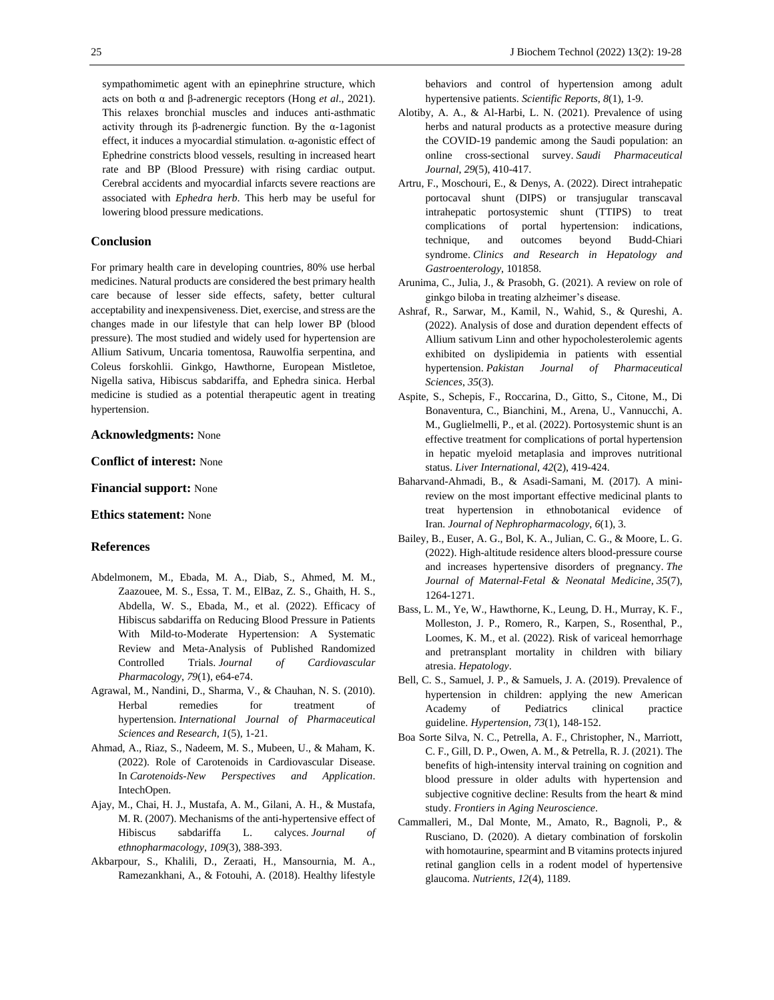sympathomimetic agent with an epinephrine structure, which acts on both α and β-adrenergic receptors (Hong *et al*., 2021). This relaxes bronchial muscles and induces anti-asthmatic activity through its β-adrenergic function. By the α-1agonist effect, it induces a myocardial stimulation. α-agonistic effect of Ephedrine constricts blood vessels, resulting in increased heart rate and BP (Blood Pressure) with rising cardiac output. Cerebral accidents and myocardial infarcts severe reactions are associated with *Ephedra herb*. This herb may be useful for lowering blood pressure medications.

## **Conclusion**

For primary health care in developing countries, 80% use herbal medicines. Natural products are considered the best primary health care because of lesser side effects, safety, better cultural acceptability and inexpensiveness. Diet, exercise, and stress are the changes made in our lifestyle that can help lower BP (blood pressure). The most studied and widely used for hypertension are Allium Sativum, Uncaria tomentosa, Rauwolfia serpentina, and Coleus forskohlii. Ginkgo, Hawthorne, European Mistletoe, Nigella sativa, Hibiscus sabdariffa, and Ephedra sinica. Herbal medicine is studied as a potential therapeutic agent in treating hypertension.

# **Acknowledgments:** None

**Conflict of interest:** None

**Financial support:** None

**Ethics statement:** None

# **References**

- Abdelmonem, M., Ebada, M. A., Diab, S., Ahmed, M. M., Zaazouee, M. S., Essa, T. M., ElBaz, Z. S., Ghaith, H. S., Abdella, W. S., Ebada, M., et al. (2022). Efficacy of Hibiscus sabdariffa on Reducing Blood Pressure in Patients With Mild-to-Moderate Hypertension: A Systematic Review and Meta-Analysis of Published Randomized Controlled Trials. *Journal of Cardiovascular Pharmacology*, *79*(1), e64-e74.
- Agrawal, M., Nandini, D., Sharma, V., & Chauhan, N. S. (2010). Herbal remedies for treatment of hypertension. *International Journal of Pharmaceutical Sciences and Research*, *1*(5), 1-21.
- Ahmad, A., Riaz, S., Nadeem, M. S., Mubeen, U., & Maham, K. (2022). Role of Carotenoids in Cardiovascular Disease. In *Carotenoids-New Perspectives and Application*. IntechOpen.
- Ajay, M., Chai, H. J., Mustafa, A. M., Gilani, A. H., & Mustafa, M. R. (2007). Mechanisms of the anti-hypertensive effect of Hibiscus sabdariffa L. calyces. *Journal of ethnopharmacology*, *109*(3), 388-393.
- Akbarpour, S., Khalili, D., Zeraati, H., Mansournia, M. A., Ramezankhani, A., & Fotouhi, A. (2018). Healthy lifestyle

25 J Biochem Technol (2022) 13(2): 19-28

behaviors and control of hypertension among adult hypertensive patients. *Scientific Reports*, *8*(1), 1-9.

- Alotiby, A. A., & Al-Harbi, L. N. (2021). Prevalence of using herbs and natural products as a protective measure during the COVID-19 pandemic among the Saudi population: an online cross-sectional survey. *Saudi Pharmaceutical Journal*, *29*(5), 410-417.
- Artru, F., Moschouri, E., & Denys, A. (2022). Direct intrahepatic portocaval shunt (DIPS) or transjugular transcaval intrahepatic portosystemic shunt (TTIPS) to treat complications of portal hypertension: indications, technique, and outcomes beyond Budd-Chiari syndrome. *Clinics and Research in Hepatology and Gastroenterology*, 101858.
- Arunima, C., Julia, J., & Prasobh, G. (2021). A review on role of ginkgo biloba in treating alzheimer's disease.
- Ashraf, R., Sarwar, M., Kamil, N., Wahid, S., & Qureshi, A. (2022). Analysis of dose and duration dependent effects of Allium sativum Linn and other hypocholesterolemic agents exhibited on dyslipidemia in patients with essential hypertension. *Pakistan Journal of Pharmaceutical Sciences*, *35*(3).
- Aspite, S., Schepis, F., Roccarina, D., Gitto, S., Citone, M., Di Bonaventura, C., Bianchini, M., Arena, U., Vannucchi, A. M., Guglielmelli, P., et al. (2022). Portosystemic shunt is an effective treatment for complications of portal hypertension in hepatic myeloid metaplasia and improves nutritional status. *Liver International*, *42*(2), 419-424.
- Baharvand-Ahmadi, B., & Asadi-Samani, M. (2017). A minireview on the most important effective medicinal plants to treat hypertension in ethnobotanical evidence of Iran. *Journal of Nephropharmacology*, *6*(1), 3.
- Bailey, B., Euser, A. G., Bol, K. A., Julian, C. G., & Moore, L. G. (2022). High-altitude residence alters blood-pressure course and increases hypertensive disorders of pregnancy. *The Journal of Maternal-Fetal & Neonatal Medicine*, *35*(7), 1264-1271.
- Bass, L. M., Ye, W., Hawthorne, K., Leung, D. H., Murray, K. F., Molleston, J. P., Romero, R., Karpen, S., Rosenthal, P., Loomes, K. M., et al. (2022). Risk of variceal hemorrhage and pretransplant mortality in children with biliary atresia. *Hepatology*.
- Bell, C. S., Samuel, J. P., & Samuels, J. A. (2019). Prevalence of hypertension in children: applying the new American Academy of Pediatrics clinical practice guideline. *Hypertension*, *73*(1), 148-152.
- Boa Sorte Silva, N. C., Petrella, A. F., Christopher, N., Marriott, C. F., Gill, D. P., Owen, A. M., & Petrella, R. J. (2021). The benefits of high-intensity interval training on cognition and blood pressure in older adults with hypertension and subjective cognitive decline: Results from the heart & mind study. *Frontiers in Aging Neuroscience*.
- Cammalleri, M., Dal Monte, M., Amato, R., Bagnoli, P., & Rusciano, D. (2020). A dietary combination of forskolin with homotaurine, spearmint and B vitamins protects injured retinal ganglion cells in a rodent model of hypertensive glaucoma. *Nutrients*, *12*(4), 1189.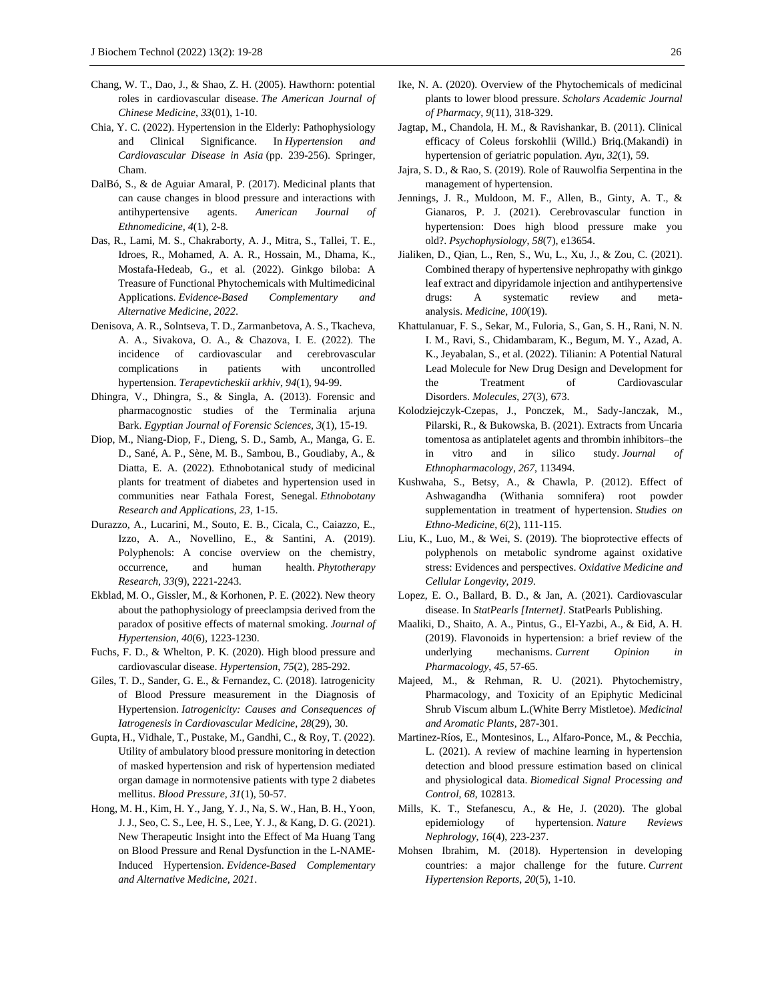- Chang, W. T., Dao, J., & Shao, Z. H. (2005). Hawthorn: potential roles in cardiovascular disease. *The American Journal of Chinese Medicine*, *33*(01), 1-10.
- Chia, Y. C. (2022). Hypertension in the Elderly: Pathophysiology and Clinical Significance. In *Hypertension and Cardiovascular Disease in Asia* (pp. 239-256). Springer, Cham.
- DalBó, S., & de Aguiar Amaral, P. (2017). Medicinal plants that can cause changes in blood pressure and interactions with antihypertensive agents. *American Journal of Ethnomedicine, 4*(1), 2-8.
- Das, R., Lami, M. S., Chakraborty, A. J., Mitra, S., Tallei, T. E., Idroes, R., Mohamed, A. A. R., Hossain, M., Dhama, K., Mostafa-Hedeab, G., et al. (2022). Ginkgo biloba: A Treasure of Functional Phytochemicals with Multimedicinal Applications. *Evidence-Based Complementary and Alternative Medicine*, *2022*.
- Denisova, A. R., Solntseva, T. D., Zarmanbetova, A. S., Tkacheva, A. A., Sivakova, O. A., & Chazova, I. Е. (2022). The incidence of cardiovascular and cerebrovascular complications in patients with uncontrolled hypertension. *Terapevticheskii arkhiv*, *94*(1), 94-99.
- Dhingra, V., Dhingra, S., & Singla, A. (2013). Forensic and pharmacognostic studies of the Terminalia arjuna Bark. *Egyptian Journal of Forensic Sciences*, *3*(1), 15-19.
- Diop, M., Niang-Diop, F., Dieng, S. D., Samb, A., Manga, G. E. D., Sané, A. P., Sène, M. B., Sambou, B., Goudiaby, A., & Diatta, E. A. (2022). Ethnobotanical study of medicinal plants for treatment of diabetes and hypertension used in communities near Fathala Forest, Senegal. *Ethnobotany Research and Applications*, *23*, 1-15.
- Durazzo, A., Lucarini, M., Souto, E. B., Cicala, C., Caiazzo, E., Izzo, A. A., Novellino, E., & Santini, A. (2019). Polyphenols: A concise overview on the chemistry, occurrence, and human health. *Phytotherapy Research*, *33*(9), 2221-2243.
- Ekblad, M. O., Gissler, M., & Korhonen, P. E. (2022). New theory about the pathophysiology of preeclampsia derived from the paradox of positive effects of maternal smoking. *Journal of Hypertension*, *40*(6), 1223-1230.
- Fuchs, F. D., & Whelton, P. K. (2020). High blood pressure and cardiovascular disease. *Hypertension*, *75*(2), 285-292.
- Giles, T. D., Sander, G. E., & Fernandez, C. (2018). Iatrogenicity of Blood Pressure measurement in the Diagnosis of Hypertension. *Iatrogenicity: Causes and Consequences of Iatrogenesis in Cardiovascular Medicine*, *28*(29), 30.
- Gupta, H., Vidhale, T., Pustake, M., Gandhi, C., & Roy, T. (2022). Utility of ambulatory blood pressure monitoring in detection of masked hypertension and risk of hypertension mediated organ damage in normotensive patients with type 2 diabetes mellitus. *Blood Pressure*, *31*(1), 50-57.
- Hong, M. H., Kim, H. Y., Jang, Y. J., Na, S. W., Han, B. H., Yoon, J. J., Seo, C. S., Lee, H. S., Lee, Y. J., & Kang, D. G. (2021). New Therapeutic Insight into the Effect of Ma Huang Tang on Blood Pressure and Renal Dysfunction in the L-NAME-Induced Hypertension. *Evidence-Based Complementary and Alternative Medicine*, *2021*.
- Ike, N. A. (2020). Overview of the Phytochemicals of medicinal plants to lower blood pressure. *Scholars Academic Journal of Pharmacy*, *9*(11), 318-329.
- Jagtap, M., Chandola, H. M., & Ravishankar, B. (2011). Clinical efficacy of Coleus forskohlii (Willd.) Briq.(Makandi) in hypertension of geriatric population. *Ayu*, *32*(1), 59.
- Jajra, S. D., & Rao, S. (2019). Role of Rauwolfia Serpentina in the management of hypertension.
- Jennings, J. R., Muldoon, M. F., Allen, B., Ginty, A. T., & Gianaros, P. J. (2021). Cerebrovascular function in hypertension: Does high blood pressure make you old?. *Psychophysiology*, *58*(7), e13654.
- Jialiken, D., Qian, L., Ren, S., Wu, L., Xu, J., & Zou, C. (2021). Combined therapy of hypertensive nephropathy with ginkgo leaf extract and dipyridamole injection and antihypertensive drugs: A systematic review and metaanalysis. *Medicine*, *100*(19).
- Khattulanuar, F. S., Sekar, M., Fuloria, S., Gan, S. H., Rani, N. N. I. M., Ravi, S., Chidambaram, K., Begum, M. Y., Azad, A. K., Jeyabalan, S., et al. (2022). Tilianin: A Potential Natural Lead Molecule for New Drug Design and Development for the Treatment of Cardiovascular Disorders. *Molecules*, *27*(3), 673.
- Kolodziejczyk-Czepas, J., Ponczek, M., Sady-Janczak, M., Pilarski, R., & Bukowska, B. (2021). Extracts from Uncaria tomentosa as antiplatelet agents and thrombin inhibitors–the in vitro and in silico study. *Journal of Ethnopharmacology*, *267*, 113494.
- Kushwaha, S., Betsy, A., & Chawla, P. (2012). Effect of Ashwagandha (Withania somnifera) root powder supplementation in treatment of hypertension. *Studies on Ethno-Medicine*, *6*(2), 111-115.
- Liu, K., Luo, M., & Wei, S. (2019). The bioprotective effects of polyphenols on metabolic syndrome against oxidative stress: Evidences and perspectives. *Oxidative Medicine and Cellular Longevity*, *2019*.
- Lopez, E. O., Ballard, B. D., & Jan, A. (2021). Cardiovascular disease. In *StatPearls [Internet]*. StatPearls Publishing.
- Maaliki, D., Shaito, A. A., Pintus, G., El-Yazbi, A., & Eid, A. H. (2019). Flavonoids in hypertension: a brief review of the underlying mechanisms. *Current Opinion Pharmacology*, *45*, 57-65.
- Majeed, M., & Rehman, R. U. (2021). Phytochemistry, Pharmacology, and Toxicity of an Epiphytic Medicinal Shrub Viscum album L.(White Berry Mistletoe). *Medicinal and Aromatic Plants*, 287-301.
- Martinez-Ríos, E., Montesinos, L., Alfaro-Ponce, M., & Pecchia, L. (2021). A review of machine learning in hypertension detection and blood pressure estimation based on clinical and physiological data. *Biomedical Signal Processing and Control*, *68*, 102813.
- Mills, K. T., Stefanescu, A., & He, J. (2020). The global epidemiology of hypertension. *Nature Reviews Nephrology*, *16*(4), 223-237.
- Mohsen Ibrahim, M. (2018). Hypertension in developing countries: a major challenge for the future. *Current Hypertension Reports*, *20*(5), 1-10.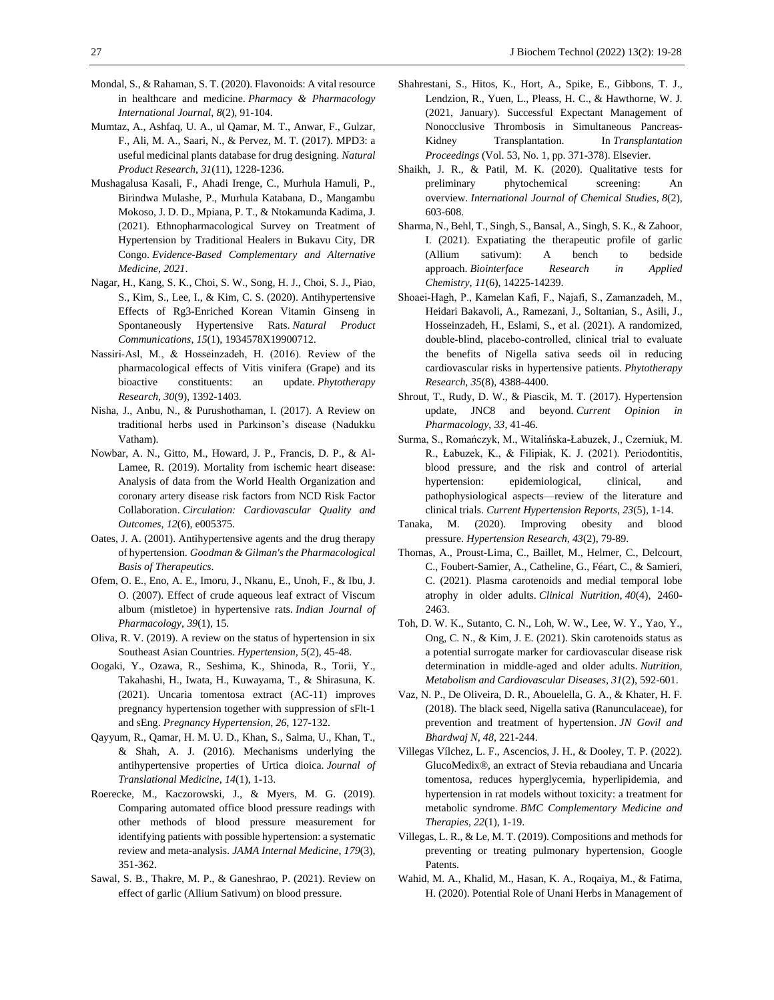- Mondal, S., & Rahaman, S. T. (2020). Flavonoids: A vital resource in healthcare and medicine. *Pharmacy & Pharmacology International Journal*, *8*(2), 91-104.
- Mumtaz, A., Ashfaq, U. A., ul Qamar, M. T., Anwar, F., Gulzar, F., Ali, M. A., Saari, N., & Pervez, M. T. (2017). MPD3: a useful medicinal plants database for drug designing. *Natural Product Research*, *31*(11), 1228-1236.
- Mushagalusa Kasali, F., Ahadi Irenge, C., Murhula Hamuli, P., Birindwa Mulashe, P., Murhula Katabana, D., Mangambu Mokoso, J. D. D., Mpiana, P. T., & Ntokamunda Kadima, J. (2021). Ethnopharmacological Survey on Treatment of Hypertension by Traditional Healers in Bukavu City, DR Congo. *Evidence-Based Complementary and Alternative Medicine*, *2021*.
- Nagar, H., Kang, S. K., Choi, S. W., Song, H. J., Choi, S. J., Piao, S., Kim, S., Lee, I., & Kim, C. S. (2020). Antihypertensive Effects of Rg3-Enriched Korean Vitamin Ginseng in Spontaneously Hypertensive Rats. *Natural Product Communications*, *15*(1), 1934578X19900712.
- Nassiri‐Asl, M., & Hosseinzadeh, H. (2016). Review of the pharmacological effects of Vitis vinifera (Grape) and its bioactive constituents: an update. *Phytotherapy Research*, *30*(9), 1392-1403.
- Nisha, J., Anbu, N., & Purushothaman, I. (2017). A Review on traditional herbs used in Parkinson's disease (Nadukku Vatham).
- Nowbar, A. N., Gitto, M., Howard, J. P., Francis, D. P., & Al-Lamee, R. (2019). Mortality from ischemic heart disease: Analysis of data from the World Health Organization and coronary artery disease risk factors from NCD Risk Factor Collaboration. *Circulation: Cardiovascular Quality and Outcomes*, *12*(6), e005375.
- Oates, J. A. (2001). Antihypertensive agents and the drug therapy of hypertension. *Goodman & Gilman's the Pharmacological Basis of Therapeutics*.
- Ofem, O. E., Eno, A. E., Imoru, J., Nkanu, E., Unoh, F., & Ibu, J. O. (2007). Effect of crude aqueous leaf extract of Viscum album (mistletoe) in hypertensive rats. *Indian Journal of Pharmacology*, *39*(1), 15.
- Oliva, R. V. (2019). A review on the status of hypertension in six Southeast Asian Countries. *Hypertension*, *5*(2), 45-48.
- Oogaki, Y., Ozawa, R., Seshima, K., Shinoda, R., Torii, Y., Takahashi, H., Iwata, H., Kuwayama, T., & Shirasuna, K. (2021). Uncaria tomentosa extract (AC-11) improves pregnancy hypertension together with suppression of sFlt-1 and sEng. *Pregnancy Hypertension*, *26*, 127-132.
- Qayyum, R., Qamar, H. M. U. D., Khan, S., Salma, U., Khan, T., & Shah, A. J. (2016). Mechanisms underlying the antihypertensive properties of Urtica dioica. *Journal of Translational Medicine*, *14*(1), 1-13.
- Roerecke, M., Kaczorowski, J., & Myers, M. G. (2019). Comparing automated office blood pressure readings with other methods of blood pressure measurement for identifying patients with possible hypertension: a systematic review and meta-analysis. *JAMA Internal Medicine*, *179*(3), 351-362.
- Sawal, S. B., Thakre, M. P., & Ganeshrao, P. (2021). Review on effect of garlic (Allium Sativum) on blood pressure.
- Shahrestani, S., Hitos, K., Hort, A., Spike, E., Gibbons, T. J., Lendzion, R., Yuen, L., Pleass, H. C., & Hawthorne, W. J. (2021, January). Successful Expectant Management of Nonocclusive Thrombosis in Simultaneous Pancreas-Kidney Transplantation. In *Transplantation Proceedings* (Vol. 53, No. 1, pp. 371-378). Elsevier.
- Shaikh, J. R., & Patil, M. K. (2020). Qualitative tests for preliminary phytochemical screening: An overview. *International Journal of Chemical Studies*, *8*(2), 603-608.
- Sharma, N., Behl, T., Singh, S., Bansal, A., Singh, S. K., & Zahoor, I. (2021). Expatiating the therapeutic profile of garlic (Allium sativum): A bench to bedside approach. *Biointerface Research in Applied Chemistry*, *11*(6), 14225-14239.
- Shoaei‐Hagh, P., Kamelan Kafi, F., Najafi, S., Zamanzadeh, M., Heidari Bakavoli, A., Ramezani, J., Soltanian, S., Asili, J., Hosseinzadeh, H., Eslami, S., et al. (2021). A randomized, double‐blind, placebo‐controlled, clinical trial to evaluate the benefits of Nigella sativa seeds oil in reducing cardiovascular risks in hypertensive patients. *Phytotherapy Research*, *35*(8), 4388-4400.
- Shrout, T., Rudy, D. W., & Piascik, M. T. (2017). Hypertension update, JNC8 and beyond. *Current Opinion in Pharmacology*, *33*, 41-46.
- Surma, S., Romańczyk, M., Witalińska-Łabuzek, J., Czerniuk, M. R., Łabuzek, K., & Filipiak, K. J. (2021). Periodontitis, blood pressure, and the risk and control of arterial hypertension: epidemiological, clinical, and pathophysiological aspects—review of the literature and clinical trials. *Current Hypertension Reports*, *23*(5), 1-14.
- Tanaka, M. (2020). Improving obesity and blood pressure. *Hypertension Research*, *43*(2), 79-89.
- Thomas, A., Proust-Lima, C., Baillet, M., Helmer, C., Delcourt, C., Foubert-Samier, A., Catheline, G., Féart, C., & Samieri, C. (2021). Plasma carotenoids and medial temporal lobe atrophy in older adults. *Clinical Nutrition*, *40*(4), 2460- 2463.
- Toh, D. W. K., Sutanto, C. N., Loh, W. W., Lee, W. Y., Yao, Y., Ong, C. N., & Kim, J. E. (2021). Skin carotenoids status as a potential surrogate marker for cardiovascular disease risk determination in middle-aged and older adults. *Nutrition, Metabolism and Cardiovascular Diseases*, *31*(2), 592-601.
- Vaz, N. P., De Oliveira, D. R., Abouelella, G. A., & Khater, H. F. (2018). The black seed, Nigella sativa (Ranunculaceae), for prevention and treatment of hypertension. *JN Govil and Bhardwaj N*, *48*, 221-244.
- Villegas Vílchez, L. F., Ascencios, J. H., & Dooley, T. P. (2022). GlucoMedix®, an extract of Stevia rebaudiana and Uncaria tomentosa, reduces hyperglycemia, hyperlipidemia, and hypertension in rat models without toxicity: a treatment for metabolic syndrome. *BMC Complementary Medicine and Therapies*, *22*(1), 1-19.
- Villegas, L. R., & Le, M. T. (2019). Compositions and methods for preventing or treating pulmonary hypertension, Google Patents.
- Wahid, M. A., Khalid, M., Hasan, K. A., Roqaiya, M., & Fatima, H. (2020). Potential Role of Unani Herbs in Management of